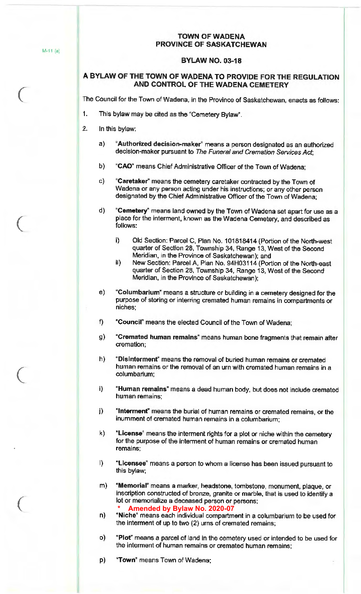### **TOWN OF WADENA PROVINCE OF SASKATCHEWAN**

### **BYLAW NO. 03-18**

# **A BYLAW OF THE TOWN OF WADENA TO PROVIDE FOR THE REGULATION AND CONTROL OF THE WADENA CEMETERY**

The Council for the Town of Wadena, in the Province of Saskatchewan, enacts as follows:

- 1. This bylaw may be cited as the "Cemetery Bylaw".
- 2. In this bylaw:
	- a) **"Authorized decision-maker"** means a person designated as an authorized decision-maker pursuant to The Funeral and Cremation Services Act;
	- b) **"CAO"** means Chief Administrative Officer of the Town of Wadena;
	- c) **"Caretaker''** means the cemetery caretaker contracted by the Town of Wadena or any person acting under his instructions; or any other person designated by the Chief Administrative Officer of the Town of Wadena;
	- d) **"Cemetery"** means land owned by the Town of Wadena set apart for use as a place for the interment, known as the Wadena Cemetery, and described as follows:
		- i) Old Section: Parcel C, Plan No. 101818414 (Portion of the North-west quarter of Section 28, Township 34, Range 13, West of the Second Meridian, in the Province of Saskatchewan); and
		- ii} New Section: Parcel A, Plan No. 94H03114 (Portion of the North-east quarter of Section 28, Township 34, Range 13, West of the Second Meridian, in the Province of Saskatchewan);
	- e) **"Columbarium"** means a structure or building in a cemetery designed for the purpose of storing or interring cremated human remains in compartments or niches;
	- f) **"Council"** means the elected Council of the Town of Wadena;
	- g) **"Cremated human remains"** means human bone fragments that remain after cremation;
	- h) **"Disinterment"** means the removal of buried human remains or cremated human remains or the removal of an urn with cremated human remains in a columbarium;
	- i) **"Human remains"** means a dead human body, but does not include cremated human remains;
	- j) **"lntermenf'** means the burial of human remains or cremated remains, or the inurnment of cremated human remains in a columbarium;
	- k) **"License"** means the interment rights for a plot or niche within the cemetery for the purpose of the interment of human remains or cremated human remains;
	- I) **"Licensee"** means a person to whom a license has been issued pursuant to this bylaw;
	- m) **"Memorial"** means a marker, headstone, tombstone, monument, plaque, or inscription constructed of bronze, granite or marble, that is used to identify a lot or memorialize a deceased person or persons; **\* Amended by Bylaw No. 2020-07**
	- n) **"Niche"** means each individual compartment in a columbarium to be used for the interment of up to two (2) urns of cremated remains;
	- o) **"Plof'** means a parcel of land in the cemetery used or intended to be used for the interment of human remains or cremated human remains;
	- p) **"Town"** means Town of Wadena;

M-11 (a)

 $\big($ 

 $\big($ 

(

*(*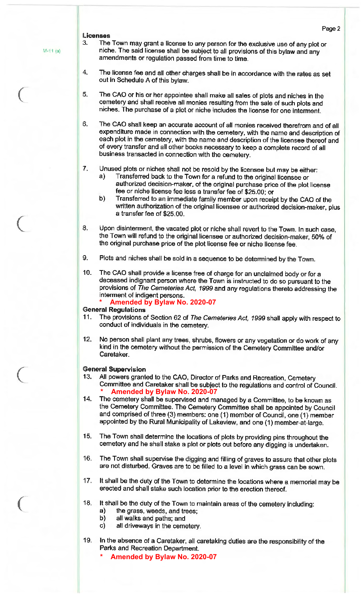#### **Licenses**

M-11 (a)

 $\big($ 

(

(

*(* 

- 3. The Town may grant a license to any person for the exclusive use of any plot or niche. The said license shall be subject to all provisions of this bylaw and any amendments or regulation passed from time to time.
- 4. The license fee and all other charges shall be in accordance with the rates as set out in Schedule A of this bylaw.
- 5\_ The CAO or his or her appointee shall make all sales of plots and niches in the cemetery and shall receive all monies resulting from the sale of such plots and niches. The purchase of a plot or niche includes the license for one interment.
- 6. The CAO shall keep an accurate account of all monies received therefrom and of all expenditure made in connection with the cemetery, with the name and description of each plot in the cemetery, with the name and description of the licensee thereof and of every transfer and all other books necessary to keep a complete record of all business transacted in connection with the cemetery.
- 7. Unused plots or niches shall not be resold by the licensee but may be either:
	- a) Transferred back to the Town for a refund to the original licensee or authorized decision-maker, of the original purchase price of the plot license fee or niche license fee less a transfer fee of \$25.00; or
	- b) Transferred to an immediate family member upon receipt by the CAO of the written authorization of the original licensee or authorized decision-maker, plus a transfer fee of \$25.00.
- 8. Upon disinterment, the vacated plot or niche shall revert to the Town. In such case, the Town will refund to the original licensee or authorized decision-maker, 50% of the original purchase price of the plot license fee or niche license fee.
- 9. Plots and niches shall be sold in a sequence to be determined by the Town.
- 10. The CAO shall provide a license free of charge for an unclaimed body or for a deceased indignant person where the Town is instructed to do so pursuant to the provisions of The Cemeteries Act, 1999 and any regulations thereto addressing the interment of indigent persons.
	- **\* Amended by Bylaw No. 2020-07**

#### **General Regulations**

- 11. The provisions of Section 62 of The Cemeteries Act, 1999 shall apply with respect to conduct of individuals in the cemetery.
- 12. No person shall plant any trees, shrubs, flowers or any vegetation or do work of any kind in the cemetery without the permission of the Cemetery Committee and/or Caretaker.

#### **General Supervision**

- 13. All powers granted to the CAO, Director of Parks and Recreation, Cemetery Committee and Caretaker shall be subject to the regulations and control of Council. **\* Amended by Bylaw No. 2020-07**
- 14. The cemetery shall be supervised and managed by a Committee, to be known as the Cemetery Committee. The Cemetery Committee shall be appointed by Council and comprised of three (3) members: one (1) member of Council, one (1) member appointed by the Rural Municipality of Lakeview, and one (1) member-at-large.
- 15. The Town shall determine the locations of plots by providing pins throughout the cemetery and he shall stake a plot or plots out before any digging is undertaken.
- 16. The Town shall supervise the digging and filling of graves to assure that other plots are not disturbed. Graves are to be filled to a level in which grass can be sown.
- 17. It shall be the duty of the Town to determine the locations where a memorial may be erected and shall stake such location prior to the erection thereof.
- 18. It shall be the duty of the Town to maintain areas of the cemetery including:
	- a) the grass, weeds, and trees;
	- b) all walks and paths; and
	- c) all driveways in the cemetery.
- 19. In the absence of a Caretaker, all caretaking duties are the responsibility of the Parks and Recreation Department.
	- **\* Amended by Bylaw No. 2020-07**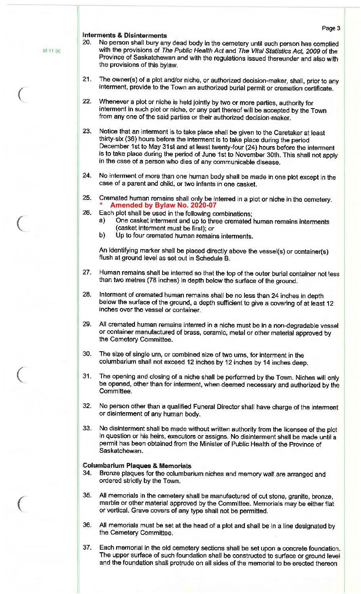Page 3 **Interments** & **Disinterments**  20\_ No person shall bury any dead body in the cemetery until such person has complied with the provisions of The Public Health Act and The Vital Statistics Act, 2009 of the Province of Saskatchewan and with the regulations issued thereunder and also with the provisions of this bylaw\_ 21. The owner(s) of a plot and/or niche, or authorized decision-maker, shall, prior to any interment, provide to the Town an authorized burial permit or cremation certificate. 22. Whenever a plot or niche is held jointly by two or more parties, authority for interment in such plot or niche, or any part thereof will be accepted by the Town from any one of the said parties or their authorized decision-maker. 23. Notice that an interment is to take place shall be given to the Caretaker at least thirty-six (36) hours before the interment is to take place during the period December 1st to May 31st and at least twenty-four (24) hours before the interment is to take place during the period of June 1st to November 30th. This shall not apply in the case of a person who dies of any communicable disease. 24. No interment of more than one human body shall be made in one plot except in the case of a parent and child, or two infants in one casket.

25. Cremated human remains shall only be interred in a plot or niche in the cemetery\_ **\* Amended by Bylaw No. 2020-07** 

- 26. Each plot shall be used in the following combinations;
	- a) One casket interment and up to three cremated human remains interments (casket interment must be first); or
	- b) Up to four cremated human remains interments.

An identifying marker shall be placed directly above the vessel(s) or container(s) flush at ground level as set out in Schedule B.

- 27. Human remains shall be interred so that the top of the outer burial container not less than two metres (78 inches) in depth below the surface of the ground.
- 28. Interment of cremated human remains shall be no less than 24 inches in depth below the surface of the ground, a depth sufficient to give a covering of at least 12 inches over the vessel or container.
- 29. All cremated human remains interred in a niche must be in a non-degradable vessel or container manufactured of brass, ceramic, metal or other material approved by the Cemetery Committee.
- 30. The size of single urn, or combined size of two urns, for interment in the columbarium shall not exceed 12 inches by 12 inches by 14 inches deep.
- 31. The opening and closing of a niche shall be performed by the Town. Niches will only be opened, other than for interment, when deemed necessary and authorized by the Committee.
- 32. No person other than a qualified Funeral Director shall have charge of the interment or disinterment of any human body.
- 33\_ No disinterment shall be made without written authority from the licensee of the plot in question or his heirs, executors or assigns. No disinterment shall be made until a permit has been obtained from the Minister of Public Health of the Province of Saskatchewan.

### **Columbarium Plaques** & **Memorials**

- 34. Bronze plaques for the columbarium niches and memory wall are arranged and ordered strictly by the Town.
- 35. All memorials in the cemetery shall be manufactured of cut stone, granite, bronze, marble or other material approved by the Committee. Memorials may be either flat or vertical. Grave covers of any type shall not be permitted.
- 36\_ All memorials must be set at the head of a plot and shall be in a line designated by the Cemetery Committee,
- 37. Each memorial in the old cemetery sections shall be set upon a concrete foundation. The upper surface of such foundation shall be constructed to surface or ground level and the foundation shall protrude on all sides of the memorial to be erected thereon

M-11 (a)

(

(

 $\big($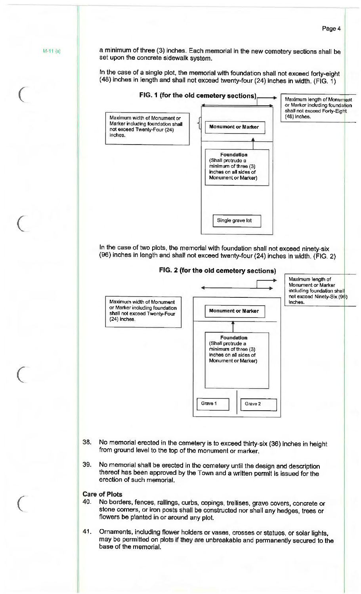Page 4 a minimum of three (3) inches. Each memorial in the new cemetery sections shall be set upon the concrete sidewalk system. In the case of a single plot, the memorial with foundation shall not exceed forty-eight ( 48) inches in length and shall not exceed twenty-four (24) inches in width. (FIG. 1) **FIG. 1 (for the old cemetery sections)**  I Maximum width of Monument or Marker including foundation shall not exceed Twenty-Four (24) inches. **Monument or Marker** • I **Foundation** (Shall protrude a minimum of three (3) inches on all sides of Monument or Marker) Single grave lot . Maximum length of Monument or Marker induding foundation shall not exceed Forty-Eight (48) inches. In the case of two plots, the memorial with foundation shall not exceed ninety-six (96) inches in length and shall not exceed twenty-four (24) inches in width. (FIG. 2) **FIG. 2 (for the old cemetery sections) i**ii Maximum width of Monument or Marker including foundation shall not exceed Twenty-Four (24) inches. **Monument or Marker Foundation**  (Shall protrude a minimum of three (3) inches on all sides of Monument or Marker) Grave 1 | Grave 2 Maximum length of Monument or Marker including foundation shal not exceed Ninety-Six (96) inches. 38. No memorial erected in the cemetery is to exceed thirty-six {36) inches in height from ground level to the top of the monument or marker. 39. No memorial shall be erected in the cemetery until the design and description thereof has been approved by the Town and a written permit is issued for the erection of such memorial. **Care of Plots**  40\_ No borders, fences, railings, curbs, copings, trellises, grave covers, concrete or stone corners, or iron posts shall be constructed nor shall any hedges, trees or flowers be planted in or around any plot.

M-11 (a)

 $\big($ 

(

 $\begin{array}{c} \begin{array}{c} \begin{array}{c} \end{array} \end{array}$ 

 $\begin{array}{ccc} \begin{array}{ccc} \end{array} \end{array}$ 

41. Ornaments, including flower holders or vases, crosses or statues, or solar lights, may be permitted on plots if they are unbreakable and permanently secured to the base of the memorial.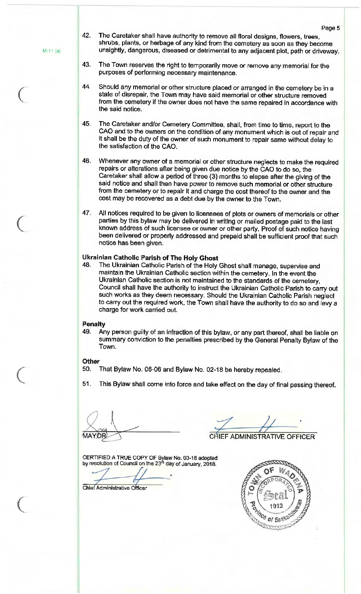M-11 (a)

 $\big($ 

 $\big($ 

 $\overline{C}$ 

(

- 42. The Caretaker shall have authority to remove all floral designs, flowers, trees, shrubs, plants, or herbage of any kind from the cemetery as soon as they become unsightly, dangerous, diseased or detrimental to any adjacent plot, path or driveway.
- 43. The Town reserves the right to temporarily move or remove any memorial for the purposes of performing necessary maintenance.
- 44. Should any memorial or other structure placed or arranged in the cemetery be in a state of disrepair, the Town may have said memorial or other structure removed from the cemetery if the owner does not have the same repaired in accordance with the said notice.
- 45. The Caretaker and/or Cemetery Committee, shall, from time to time, report to the CAO and to the owners on the condition of any monument which is out of repair and it shall be the duty of the owner of such monument to repair same without delay to the satisfaction of the CAO.
- 46. Whenever any owner of a memorial or other structure neglects to make the required repairs or alterations after being given due notice by the CAO to do so, the Caretaker shall allow a period of three (3) months to elapse after the giving of the said notice and shall then have power to remove such memorial or other structure from the cemetery or to repair it and charge the cost thereof to the owner and the cost may be recovered as a debt due by the owner to the Town.
- 47. All notices required to be given to licensees of plots or owners of memorials or other parties by this bylaw may be delivered in writing or mailed postage paid to the last known address of such licensee or owner or other party. Proof of such notice having been delivered or properly addressed and prepaid shall be sufficient proof that such notice has been given.

### **Ukrainian Catholic Parish of The Holy Ghost**

48. The Ukrainian Catholic Parish of the Holy Ghost shall manage, supervise and maintain the Ukrainian Catholic section within the cemetery. In the event the Ukrainian Catholic section is not maintained to the standards of the cemetery, Council shall have the authority to instruct the Ukrainian Catholic Parish to carry out such works as they deem necessary. Should the Ukrainian Catholic Parish neglect to carry out the required work, the Town shall have the authority to do so and levy a charge for **work** carried out.

#### **Penalty**

49. Any person guilty of an infraction of this bylaw, or any part thereof, shall be liable on summary conviction to the penalties prescribed by the General Penalty Bylaw of the Town.

#### **Other**

- 50. That Bylaw No. 06-06 and Bylaw No. 02-18 be hereby repealed.
- 51. This Bylaw shall come into force and take effect on the day of final passing thereof.

 $~\,$   $~\,$   $~\,$   $~\,$   $~\,$   $~\,$   $~\,$   $~\,$   $~\,$   $~\,$   $~\,$   $~\,$   $~\,$   $~\,$   $~\,$   $~\,$   $~\,$   $~\,$   $~\,$   $~\,$   $~\,$   $~\,$   $~\,$   $~\,$   $~\,$   $~\,$   $~\,$   $~\,$   $~\,$   $~\,$   $~\,$   $~\,$   $~\,$   $~\,$   $~\,$   $~\,$   $~\,$ HEF ADMINISTRATIVE OFFICER

CERTIFIED A TRUE COPY OF Bylaw No. 03-18 adopted

by resolution of Council on the 23rd day of January, 2018.

Chief Administrative Officer

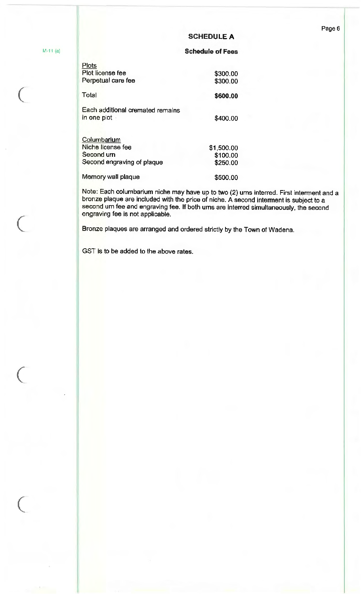### **SCHEDULE A**

#### **Schedule of Fees**

| <b>Plots</b><br>Plot license fee                |            |
|-------------------------------------------------|------------|
|                                                 | \$300.00   |
| Perpetual care fee                              | \$300.00   |
| Total                                           | \$600.00   |
| Each additional cremated remains<br>in one plot | \$400.00   |
| Columbarium                                     |            |
| Niche license fee                               | \$1,500.00 |
| Second um                                       | \$100.00   |
| Second engraving of plaque                      | \$250.00   |
| Memory wall plaque                              | \$500.00   |

Note: Each columbarium niche may have up to two (2) urns interred. First interment and a bronze plaque are included with the price of niche. A second interment is subject to a second urn fee and engraving fee. If both urns are interred simultaneously, the second engraving fee is not applicable.

Bronze plaques are arranged and ordered strictly by the Town of Wadena.

GST is to be added to the above rates.

M-11 (a)

(

 $\big($ 

 $\big($ 

 $\begin{array}{c} \begin{array}{c} \begin{array}{c} \end{array} \end{array}$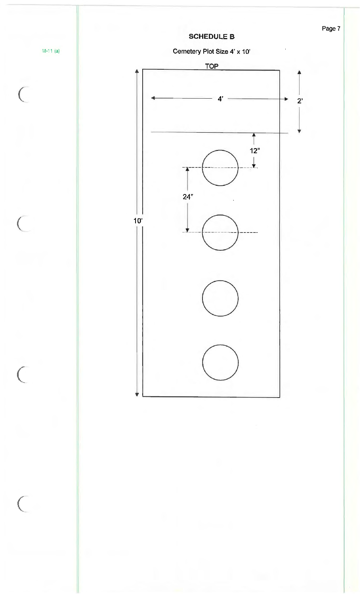